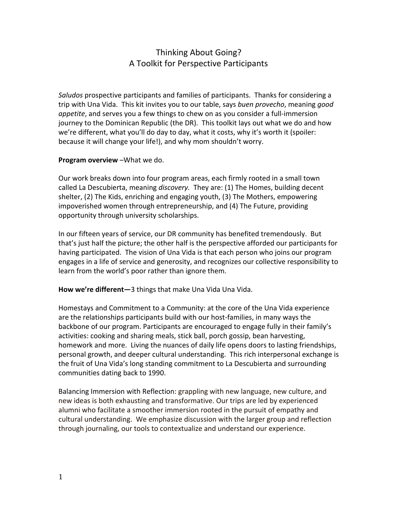# Thinking About Going? A Toolkit for Perspective Participants

Saludos prospective participants and families of participants. Thanks for considering a trip with Una Vida. This kit invites you to our table, says buen provecho, meaning good appetite, and serves you a few things to chew on as you consider a full-immersion journey to the Dominican Republic (the DR). This toolkit lays out what we do and how we're different, what you'll do day to day, what it costs, why it's worth it (spoiler: because it will change your life!), and why mom shouldn't worry.

# Program overview –What we do.

Our work breaks down into four program areas, each firmly rooted in a small town called La Descubierta, meaning discovery. They are: (1) The Homes, building decent shelter, (2) The Kids, enriching and engaging youth, (3) The Mothers, empowering impoverished women through entrepreneurship, and (4) The Future, providing opportunity through university scholarships.

In our fifteen years of service, our DR community has benefited tremendously. But that's just half the picture; the other half is the perspective afforded our participants for having participated. The vision of Una Vida is that each person who joins our program engages in a life of service and generosity, and recognizes our collective responsibility to learn from the world's poor rather than ignore them.

How we're different-3 things that make Una Vida Una Vida.

Homestays and Commitment to a Community: at the core of the Una Vida experience are the relationships participants build with our host-families, in many ways the backbone of our program. Participants are encouraged to engage fully in their family's activities: cooking and sharing meals, stick ball, porch gossip, bean harvesting, homework and more. Living the nuances of daily life opens doors to lasting friendships, personal growth, and deeper cultural understanding. This rich interpersonal exchange is the fruit of Una Vida's long standing commitment to La Descubierta and surrounding communities dating back to 1990.

Balancing Immersion with Reflection: grappling with new language, new culture, and new ideas is both exhausting and transformative. Our trips are led by experienced alumni who facilitate a smoother immersion rooted in the pursuit of empathy and cultural understanding. We emphasize discussion with the larger group and reflection through journaling, our tools to contextualize and understand our experience.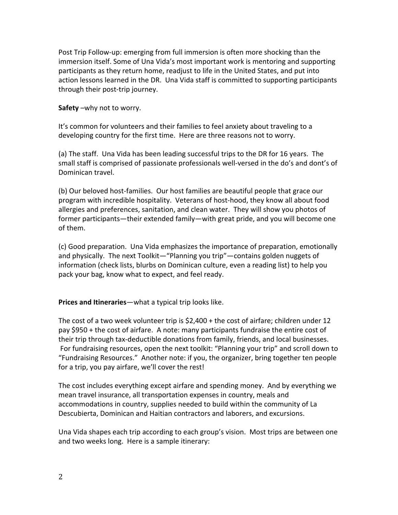Post Trip Followup: emerging from full immersion is often more shocking than the immersion itself. Some of Una Vida's most important work is mentoring and supporting participants as they return home, readjust to life in the United States, and put into action lessons learned in the DR. Una Vida staff is committed to supporting participants through their post-trip journey.

### Safety –why not to worry.

It's common for volunteers and their families to feel anxiety about traveling to a developing country for the first time. Here are three reasons not to worry.

(a) The staff. Una Vida has been leading successful trips to the DR for 16 years. The small staff is comprised of passionate professionals well-versed in the do's and dont's of Dominican travel.

(b) Our beloved host-families. Our host families are beautiful people that grace our program with incredible hospitality. Veterans of host-hood, they know all about food allergies and preferences, sanitation, and clean water. They will show you photos of former participants—their extended family—with great pride, and you will become one of them.

(c) Good preparation. Una Vida emphasizes the importance of preparation, emotionally and physically. The next Toolkit—"Planning you trip"—contains golden nuggets of information (check lists, blurbs on Dominican culture, even a reading list) to help you pack your bag, know what to expect, and feel ready.

# Prices and Itineraries—what a typical trip looks like.

The cost of a two week volunteer trip is \$2,400 + the cost of airfare; children under 12 pay \$950 + the cost of airfare. A note: many participants fundraise the entire cost of their trip through tax-deductible donations from family, friends, and local businesses. For fundraising resources, open the next toolkit: "Planning your trip" and scroll down to "Fundraising Resources." Another note: if you, the organizer, bring together ten people for a trip, you pay airfare, we'll cover the rest!

The cost includes everything except airfare and spending money. And by everything we mean travel insurance, all transportation expenses in country, meals and accommodations in country, supplies needed to build within the community of La Descubierta, Dominican and Haitian contractors and laborers, and excursions.

Una Vida shapes each trip according to each group's vision. Most trips are between one and two weeks long. Here is a sample itinerary: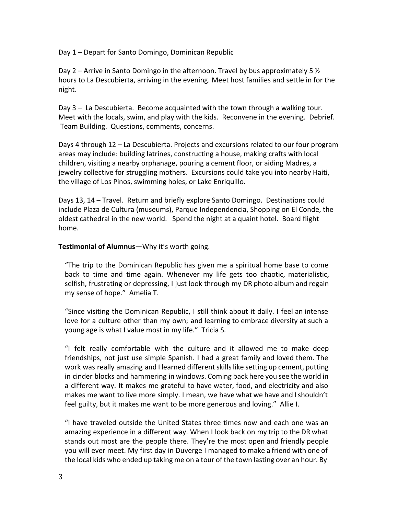Day 1 – Depart for Santo Domingo, Dominican Republic

Day 2 – Arrive in Santo Domingo in the afternoon. Travel by bus approximately 5  $\frac{1}{2}$ hours to La Descubierta, arriving in the evening. Meet host families and settle in for the night.

Day 3 – La Descubierta. Become acquainted with the town through a walking tour. Meet with the locals, swim, and play with the kids. Reconvene in the evening. Debrief. Team Building. Questions, comments, concerns.

Days 4 through 12 – La Descubierta. Projects and excursions related to our four program areas may include: building latrines, constructing a house, making crafts with local children, visiting a nearby orphanage, pouring a cement floor, or aiding Madres, a jewelry collective for struggling mothers. Excursions could take you into nearby Haiti, the village of Los Pinos, swimming holes, or Lake Enriquillo.

Days 13, 14 – Travel. Return and briefly explore Santo Domingo. Destinations could include Plaza de Cultura (museums), Parque Independencia, Shopping on El Conde, the oldest cathedral in the new world. Spend the night at a quaint hotel. Board flight home.

### Testimonial of Alumnus-Why it's worth going.

"The trip to the Dominican Republic has given me a spiritual home base to come back to time and time again. Whenever my life gets too chaotic, materialistic, selfish, frustrating or depressing, I just look through my DR photo album and regain my sense of hope." Amelia T.

"Since visiting the Dominican Republic, I still think about it daily. I feel an intense love for a culture other than my own; and learning to embrace diversity at such a young age is what I value most in my life." Tricia S.

"I felt really comfortable with the culture and it allowed me to make deep friendships, not just use simple Spanish. I had a great family and loved them. The work was really amazing and I learned different skills like setting up cement, putting in cinder blocks and hammering in windows. Coming back here you see the world in a different way. It makes me grateful to have water, food, and electricity and also makes me want to live more simply. I mean, we have what we have and Ishouldn't feel guilty, but it makes me want to be more generous and loving." Allie I.

"I have traveled outside the United States three times now and each one was an amazing experience in a different way. When I look back on my trip to the DR what stands out most are the people there. They're the most open and friendly people you will ever meet. My first day in Duverge I managed to make a friend with one of the local kids who ended up taking me on a tour of the town lasting over an hour. By